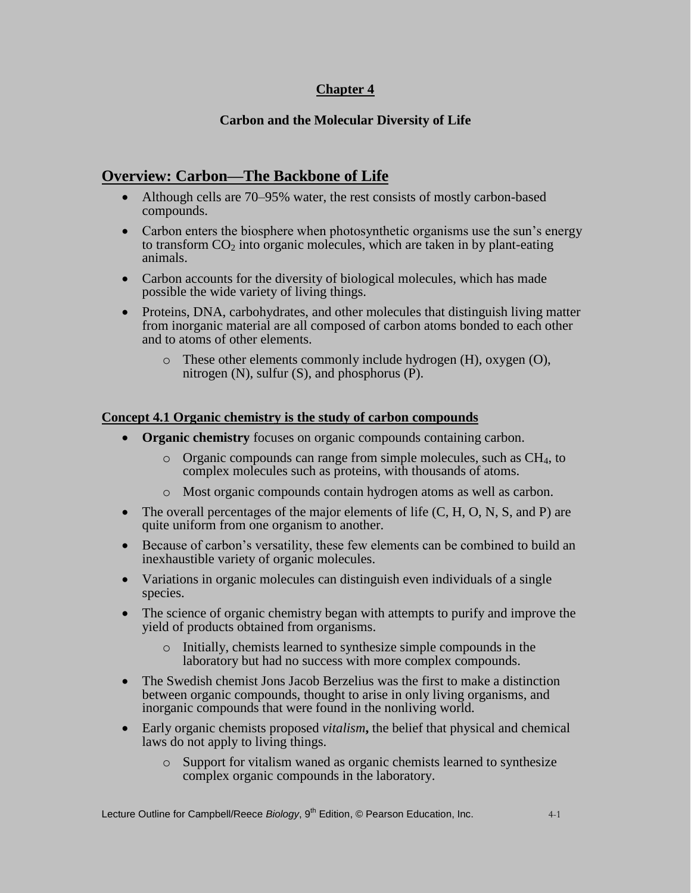## **Chapter 4**

## **Carbon and the Molecular Diversity of Life**

# **Overview: Carbon—The Backbone of Life**

- Although cells are 70–95% water, the rest consists of mostly carbon-based compounds.
- Carbon enters the biosphere when photosynthetic organisms use the sun's energy to transform  $CO<sub>2</sub>$  into organic molecules, which are taken in by plant-eating animals.
- Carbon accounts for the diversity of biological molecules, which has made possible the wide variety of living things.
- Proteins, DNA, carbohydrates, and other molecules that distinguish living matter from inorganic material are all composed of carbon atoms bonded to each other and to atoms of other elements.
	- o These other elements commonly include hydrogen (H), oxygen (O), nitrogen  $(N)$ , sulfur  $(S)$ , and phosphorus  $(P)$ .

#### **Concept 4.1 Organic chemistry is the study of carbon compounds**

- **Organic chemistry** focuses on organic compounds containing carbon.
	- $\circ$  Organic compounds can range from simple molecules, such as CH<sub>4</sub>, to complex molecules such as proteins, with thousands of atoms.
	- o Most organic compounds contain hydrogen atoms as well as carbon.
- $\bullet$  The overall percentages of the major elements of life (C, H, O, N, S, and P) are quite uniform from one organism to another.
- Because of carbon's versatility, these few elements can be combined to build an inexhaustible variety of organic molecules.
- Variations in organic molecules can distinguish even individuals of a single species.
- The science of organic chemistry began with attempts to purify and improve the yield of products obtained from organisms.
	- o Initially, chemists learned to synthesize simple compounds in the laboratory but had no success with more complex compounds.
- The Swedish chemist Jons Jacob Berzelius was the first to make a distinction between organic compounds, thought to arise in only living organisms, and inorganic compounds that were found in the nonliving world.
- Early organic chemists proposed *vitalism***,** the belief that physical and chemical laws do not apply to living things.
	- o Support for vitalism waned as organic chemists learned to synthesize complex organic compounds in the laboratory.

Lecture Outline for Campbell/Reece *Biology*, 9<sup>th</sup> Edition, © Pearson Education, Inc. 4-1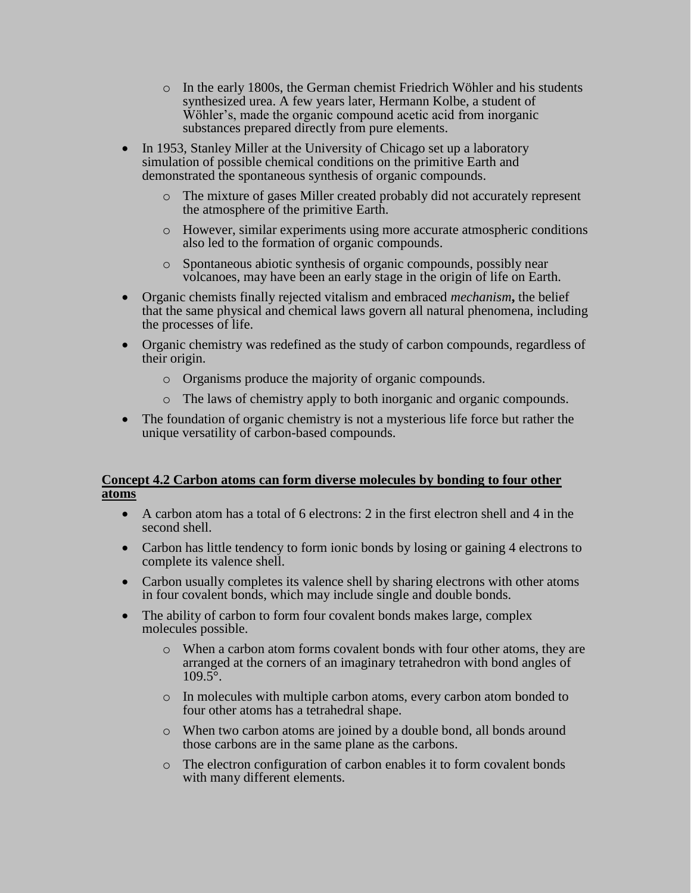- o In the early 1800s, the German chemist Friedrich Wöhler and his students synthesized urea. A few years later, Hermann Kolbe, a student of Wöhler's, made the organic compound acetic acid from inorganic substances prepared directly from pure elements.
- In 1953, Stanley Miller at the University of Chicago set up a laboratory simulation of possible chemical conditions on the primitive Earth and demonstrated the spontaneous synthesis of organic compounds.
	- o The mixture of gases Miller created probably did not accurately represent the atmosphere of the primitive Earth.
	- o However, similar experiments using more accurate atmospheric conditions also led to the formation of organic compounds.
	- o Spontaneous abiotic synthesis of organic compounds, possibly near volcanoes, may have been an early stage in the origin of life on Earth.
- Organic chemists finally rejected vitalism and embraced *mechanism***,** the belief that the same physical and chemical laws govern all natural phenomena, including the processes of life.
- Organic chemistry was redefined as the study of carbon compounds, regardless of their origin.
	- o Organisms produce the majority of organic compounds.
	- o The laws of chemistry apply to both inorganic and organic compounds.
- The foundation of organic chemistry is not a mysterious life force but rather the unique versatility of carbon-based compounds.

#### **Concept 4.2 Carbon atoms can form diverse molecules by bonding to four other atoms**

- A carbon atom has a total of 6 electrons: 2 in the first electron shell and 4 in the second shell.
- Carbon has little tendency to form ionic bonds by losing or gaining 4 electrons to complete its valence shell.
- Carbon usually completes its valence shell by sharing electrons with other atoms in four covalent bonds, which may include single and double bonds.
- The ability of carbon to form four covalent bonds makes large, complex molecules possible.
	- o When a carbon atom forms covalent bonds with four other atoms, they are arranged at the corners of an imaginary tetrahedron with bond angles of  $109.5^{\circ}$ .
	- o In molecules with multiple carbon atoms, every carbon atom bonded to four other atoms has a tetrahedral shape.
	- o When two carbon atoms are joined by a double bond, all bonds around those carbons are in the same plane as the carbons.
	- o The electron configuration of carbon enables it to form covalent bonds with many different elements.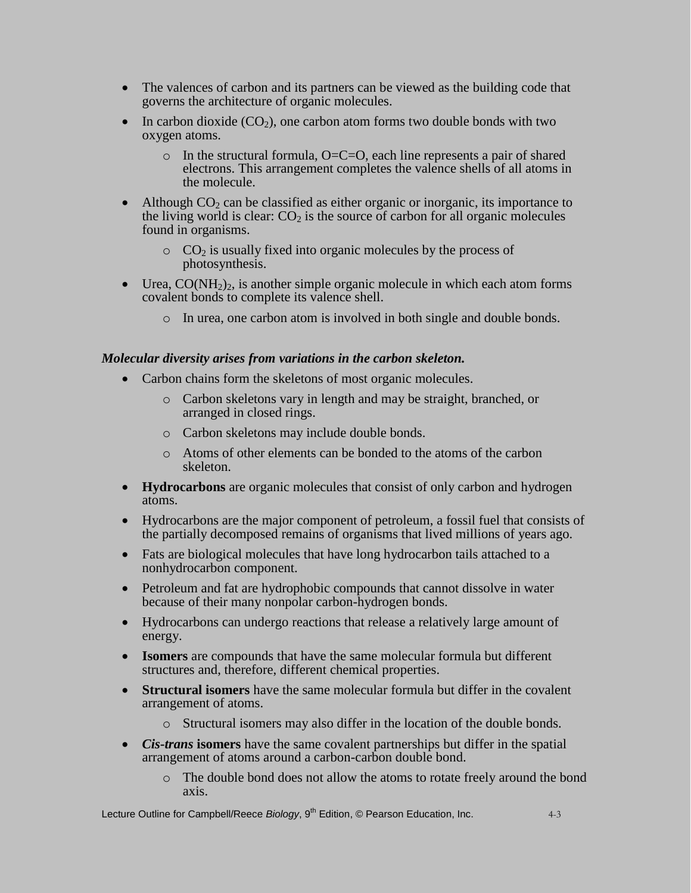- The valences of carbon and its partners can be viewed as the building code that governs the architecture of organic molecules.
- In carbon dioxide  $(CO<sub>2</sub>)$ , one carbon atom forms two double bonds with two oxygen atoms.
	- $\circ$  In the structural formula, O=C=O, each line represents a pair of shared electrons. This arrangement completes the valence shells of all atoms in the molecule.
- Although  $CO<sub>2</sub>$  can be classified as either organic or inorganic, its importance to the living world is clear:  $CO<sub>2</sub>$  is the source of carbon for all organic molecules found in organisms.
	- $\circ$  CO<sub>2</sub> is usually fixed into organic molecules by the process of photosynthesis.
- Urea,  $CO(NH<sub>2</sub>)<sub>2</sub>$ , is another simple organic molecule in which each atom forms covalent bonds to complete its valence shell.
	- o In urea, one carbon atom is involved in both single and double bonds.

#### *Molecular diversity arises from variations in the carbon skeleton.*

- Carbon chains form the skeletons of most organic molecules.
	- o Carbon skeletons vary in length and may be straight, branched, or arranged in closed rings.
	- o Carbon skeletons may include double bonds.
	- o Atoms of other elements can be bonded to the atoms of the carbon skeleton.
- **Hydrocarbons** are organic molecules that consist of only carbon and hydrogen atoms.
- Hydrocarbons are the major component of petroleum, a fossil fuel that consists of the partially decomposed remains of organisms that lived millions of years ago.
- Fats are biological molecules that have long hydrocarbon tails attached to a nonhydrocarbon component.
- Petroleum and fat are hydrophobic compounds that cannot dissolve in water because of their many nonpolar carbon-hydrogen bonds.
- Hydrocarbons can undergo reactions that release a relatively large amount of energy.
- **Isomers** are compounds that have the same molecular formula but different structures and, therefore, different chemical properties.
- **Structural isomers** have the same molecular formula but differ in the covalent arrangement of atoms.
	- o Structural isomers may also differ in the location of the double bonds.
- *Cis-trans* **isomers** have the same covalent partnerships but differ in the spatial arrangement of atoms around a carbon-carbon double bond.
	- o The double bond does not allow the atoms to rotate freely around the bond axis.

Lecture Outline for Campbell/Reece *Biology*, 9<sup>th</sup> Edition, © Pearson Education, Inc. 4-3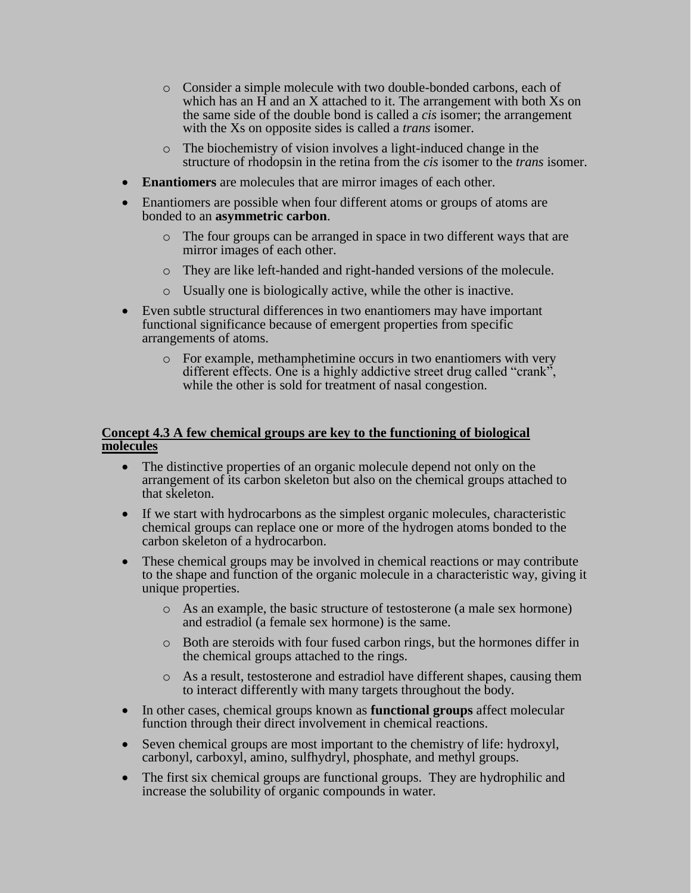- o Consider a simple molecule with two double-bonded carbons, each of which has an H and an X attached to it. The arrangement with both Xs on the same side of the double bond is called a *cis* isomer; the arrangement with the Xs on opposite sides is called a *trans* isomer.
- o The biochemistry of vision involves a light-induced change in the structure of rhodopsin in the retina from the *cis* isomer to the *trans* isomer.
- **Enantiomers** are molecules that are mirror images of each other.
- Enantiomers are possible when four different atoms or groups of atoms are bonded to an **asymmetric carbon**.
	- o The four groups can be arranged in space in two different ways that are mirror images of each other.
	- o They are like left-handed and right-handed versions of the molecule.
	- o Usually one is biologically active, while the other is inactive.
- Even subtle structural differences in two enantiomers may have important functional significance because of emergent properties from specific arrangements of atoms.
	- o For example, methamphetimine occurs in two enantiomers with very different effects. One is a highly addictive street drug called "crank", while the other is sold for treatment of nasal congestion.

#### **Concept 4.3 A few chemical groups are key to the functioning of biological molecules**

- The distinctive properties of an organic molecule depend not only on the arrangement of its carbon skeleton but also on the chemical groups attached to that skeleton.
- If we start with hydrocarbons as the simplest organic molecules, characteristic chemical groups can replace one or more of the hydrogen atoms bonded to the carbon skeleton of a hydrocarbon.
- These chemical groups may be involved in chemical reactions or may contribute to the shape and function of the organic molecule in a characteristic way, giving it unique properties.
	- o As an example, the basic structure of testosterone (a male sex hormone) and estradiol (a female sex hormone) is the same.
	- o Both are steroids with four fused carbon rings, but the hormones differ in the chemical groups attached to the rings.
	- o As a result, testosterone and estradiol have different shapes, causing them to interact differently with many targets throughout the body.
- In other cases, chemical groups known as **functional groups** affect molecular function through their direct involvement in chemical reactions.
- Seven chemical groups are most important to the chemistry of life: hydroxyl, carbonyl, carboxyl, amino, sulfhydryl, phosphate, and methyl groups.
- The first six chemical groups are functional groups. They are hydrophilic and increase the solubility of organic compounds in water.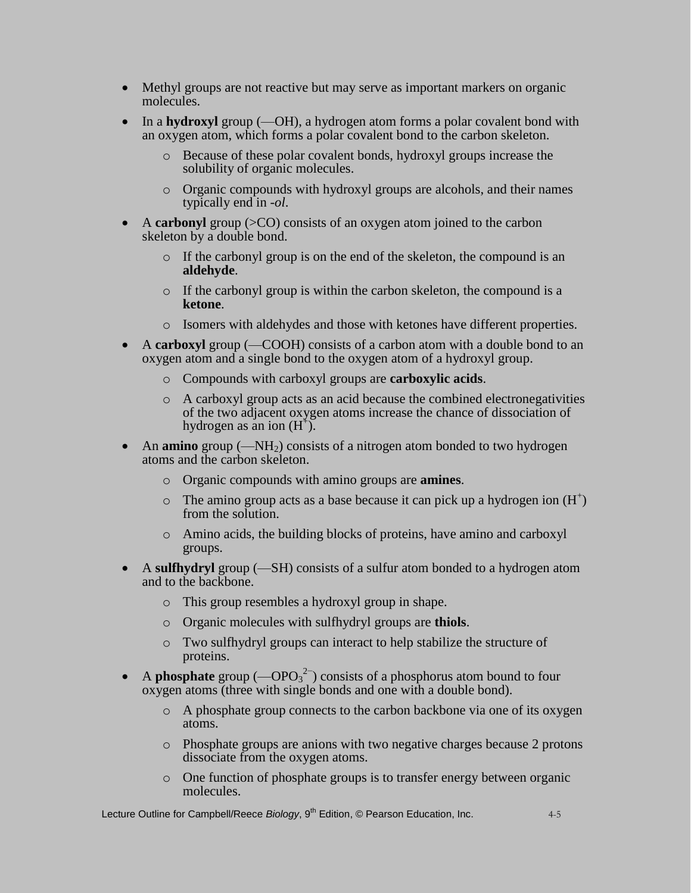- Methyl groups are not reactive but may serve as important markers on organic molecules.
- In a **hydroxyl** group (—OH), a hydrogen atom forms a polar covalent bond with an oxygen atom, which forms a polar covalent bond to the carbon skeleton.
	- o Because of these polar covalent bonds, hydroxyl groups increase the solubility of organic molecules.
	- o Organic compounds with hydroxyl groups are alcohols, and their names typically end in -*ol*.
- A **carbonyl** group (>CO) consists of an oxygen atom joined to the carbon skeleton by a double bond.
	- o If the carbonyl group is on the end of the skeleton, the compound is an **aldehyde**.
	- o If the carbonyl group is within the carbon skeleton, the compound is a **ketone**.
	- o Isomers with aldehydes and those with ketones have different properties.
- A **carboxyl** group (—COOH) consists of a carbon atom with a double bond to an oxygen atom and a single bond to the oxygen atom of a hydroxyl group.
	- o Compounds with carboxyl groups are **carboxylic acids**.
	- $\circ$  A carboxyl group acts as an acid because the combined electronegativities of the two adjacent oxygen atoms increase the chance of dissociation of hydrogen as an ion  $(H<sup>+</sup>)$ .
- An **amino** group (—NH<sub>2</sub>) consists of a nitrogen atom bonded to two hydrogen atoms and the carbon skeleton.
	- o Organic compounds with amino groups are **amines**.
	- $\circ$  The amino group acts as a base because it can pick up a hydrogen ion  $(H^+)$ from the solution.
	- o Amino acids, the building blocks of proteins, have amino and carboxyl groups.
- A **sulfhydryl** group (—SH) consists of a sulfur atom bonded to a hydrogen atom and to the backbone.
	- o This group resembles a hydroxyl group in shape.
	- o Organic molecules with sulfhydryl groups are **thiols**.
	- o Two sulfhydryl groups can interact to help stabilize the structure of proteins.
- A **phosphate** group (—OPO<sub>3</sub><sup>2–</sup>) consists of a phosphorus atom bound to four oxygen atoms (three with single bonds and one with a double bond).
	- o A phosphate group connects to the carbon backbone via one of its oxygen atoms.
	- o Phosphate groups are anions with two negative charges because 2 protons dissociate from the oxygen atoms.
	- o One function of phosphate groups is to transfer energy between organic molecules.

Lecture Outline for Campbell/Reece *Biology*, 9<sup>th</sup> Edition, © Pearson Education, Inc. 4-5